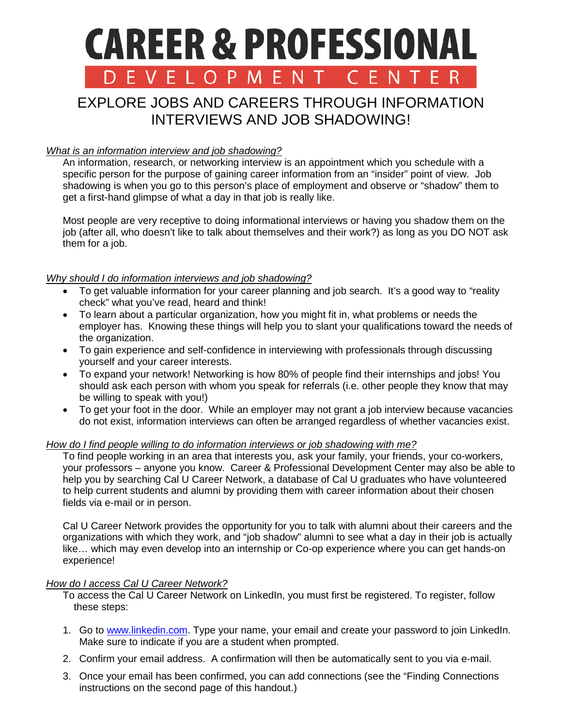# **CAREER & PROFESSIONAL** D E V E L O P M E N CFNT

# EXPLORE JOBS AND CAREERS THROUGH INFORMATION INTERVIEWS AND JOB SHADOWING!

# *What is an information interview and job shadowing?*

An information, research, or networking interview is an appointment which you schedule with a specific person for the purpose of gaining career information from an "insider" point of view. Job shadowing is when you go to this person's place of employment and observe or "shadow" them to get a first-hand glimpse of what a day in that job is really like.

Most people are very receptive to doing informational interviews or having you shadow them on the job (after all, who doesn't like to talk about themselves and their work?) as long as you DO NOT ask them for a job.

### *Why should I do information interviews and job shadowing?*

- To get valuable information for your career planning and job search. It's a good way to "reality check" what you've read, heard and think!
- To learn about a particular organization, how you might fit in, what problems or needs the employer has. Knowing these things will help you to slant your qualifications toward the needs of the organization.
- To gain experience and self-confidence in interviewing with professionals through discussing yourself and your career interests.
- To expand your network! Networking is how 80% of people find their internships and jobs! You should ask each person with whom you speak for referrals (i.e. other people they know that may be willing to speak with you!)
- To get your foot in the door. While an employer may not grant a job interview because vacancies do not exist, information interviews can often be arranged regardless of whether vacancies exist.

#### *How do I find people willing to do information interviews or job shadowing with me?*

To find people working in an area that interests you, ask your family, your friends, your co-workers, your professors – anyone you know. Career & Professional Development Center may also be able to help you by searching Cal U Career Network, a database of Cal U graduates who have volunteered to help current students and alumni by providing them with career information about their chosen fields via e-mail or in person.

Cal U Career Network provides the opportunity for you to talk with alumni about their careers and the organizations with which they work, and "job shadow" alumni to see what a day in their job is actually like… which may even develop into an internship or Co-op experience where you can get hands-on experience!

# *How do I access Cal U Career Network?*

To access the Cal U Career Network on LinkedIn, you must first be registered. To register, follow these steps:

- 1. Go to [www.linkedin.com.](http://www.linkedin.com/) Type your name, your email and create your password to join LinkedIn. Make sure to indicate if you are a student when prompted.
- 2. Confirm your email address. A confirmation will then be automatically sent to you via e-mail.
- 3. Once your email has been confirmed, you can add connections (see the "Finding Connections instructions on the second page of this handout.)